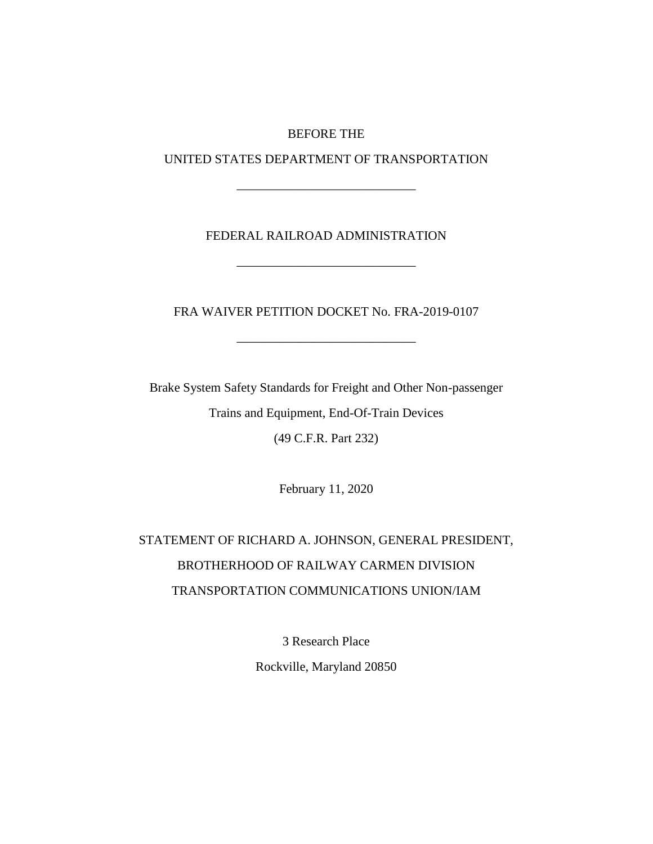### BEFORE THE

UNITED STATES DEPARTMENT OF TRANSPORTATION

\_\_\_\_\_\_\_\_\_\_\_\_\_\_\_\_\_\_\_\_\_\_\_\_\_\_\_\_

## FEDERAL RAILROAD ADMINISTRATION

\_\_\_\_\_\_\_\_\_\_\_\_\_\_\_\_\_\_\_\_\_\_\_\_\_\_\_\_

FRA WAIVER PETITION DOCKET No. FRA-2019-0107

\_\_\_\_\_\_\_\_\_\_\_\_\_\_\_\_\_\_\_\_\_\_\_\_\_\_\_\_

Brake System Safety Standards for Freight and Other Non-passenger Trains and Equipment, End-Of-Train Devices (49 C.F.R. Part 232)

February 11, 2020

# STATEMENT OF RICHARD A. JOHNSON, GENERAL PRESIDENT, BROTHERHOOD OF RAILWAY CARMEN DIVISION TRANSPORTATION COMMUNICATIONS UNION/IAM

3 Research Place

Rockville, Maryland 20850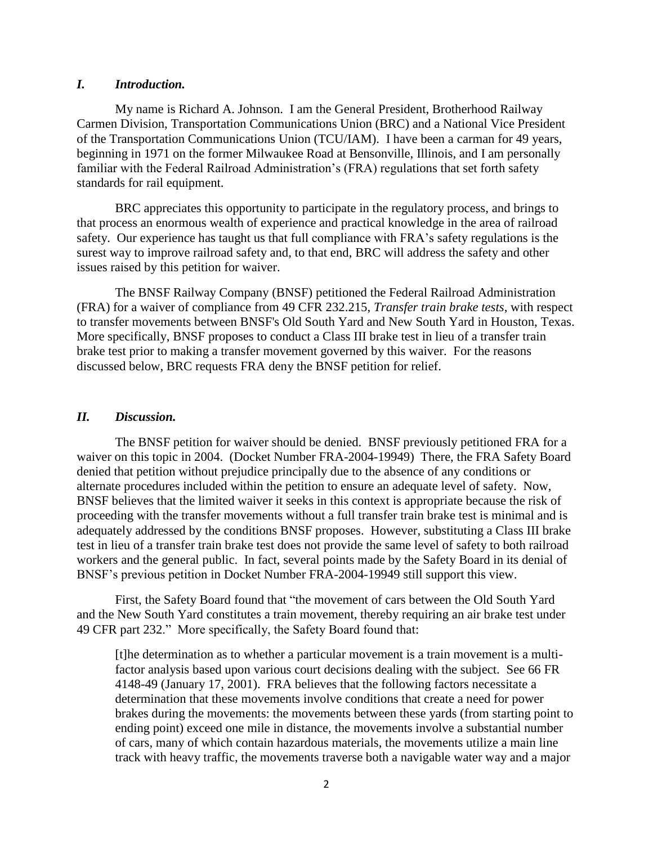#### *I. Introduction.*

My name is Richard A. Johnson. I am the General President, Brotherhood Railway Carmen Division, Transportation Communications Union (BRC) and a National Vice President of the Transportation Communications Union (TCU/IAM). I have been a carman for 49 years, beginning in 1971 on the former Milwaukee Road at Bensonville, Illinois, and I am personally familiar with the Federal Railroad Administration's (FRA) regulations that set forth safety standards for rail equipment.

BRC appreciates this opportunity to participate in the regulatory process, and brings to that process an enormous wealth of experience and practical knowledge in the area of railroad safety. Our experience has taught us that full compliance with FRA's safety regulations is the surest way to improve railroad safety and, to that end, BRC will address the safety and other issues raised by this petition for waiver.

The BNSF Railway Company (BNSF) petitioned the Federal Railroad Administration (FRA) for a waiver of compliance from 49 CFR 232.215, *Transfer train brake tests*, with respect to transfer movements between BNSF's Old South Yard and New South Yard in Houston, Texas. More specifically, BNSF proposes to conduct a Class III brake test in lieu of a transfer train brake test prior to making a transfer movement governed by this waiver. For the reasons discussed below, BRC requests FRA deny the BNSF petition for relief.

#### *II. Discussion.*

The BNSF petition for waiver should be denied. BNSF previously petitioned FRA for a waiver on this topic in 2004. (Docket Number FRA-2004-19949) There, the FRA Safety Board denied that petition without prejudice principally due to the absence of any conditions or alternate procedures included within the petition to ensure an adequate level of safety. Now, BNSF believes that the limited waiver it seeks in this context is appropriate because the risk of proceeding with the transfer movements without a full transfer train brake test is minimal and is adequately addressed by the conditions BNSF proposes. However, substituting a Class III brake test in lieu of a transfer train brake test does not provide the same level of safety to both railroad workers and the general public. In fact, several points made by the Safety Board in its denial of BNSF's previous petition in Docket Number FRA-2004-19949 still support this view.

First, the Safety Board found that "the movement of cars between the Old South Yard and the New South Yard constitutes a train movement, thereby requiring an air brake test under 49 CFR part 232." More specifically, the Safety Board found that:

[t]he determination as to whether a particular movement is a train movement is a multifactor analysis based upon various court decisions dealing with the subject. See 66 FR 4148-49 (January 17, 2001). FRA believes that the following factors necessitate a determination that these movements involve conditions that create a need for power brakes during the movements: the movements between these yards (from starting point to ending point) exceed one mile in distance, the movements involve a substantial number of cars, many of which contain hazardous materials, the movements utilize a main line track with heavy traffic, the movements traverse both a navigable water way and a major